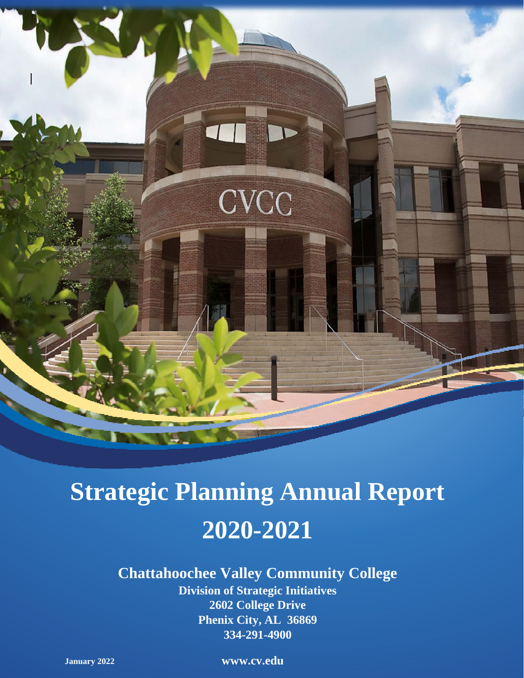

# **Strategic Planning Annual Report 2020-2021**

## **Chattahoochee Valley Community College**

**Division of Strategic Initiatives 2602 College Drive Phenix City, AL 36869 334-291-4900**

**January 2022 www.cv.edu**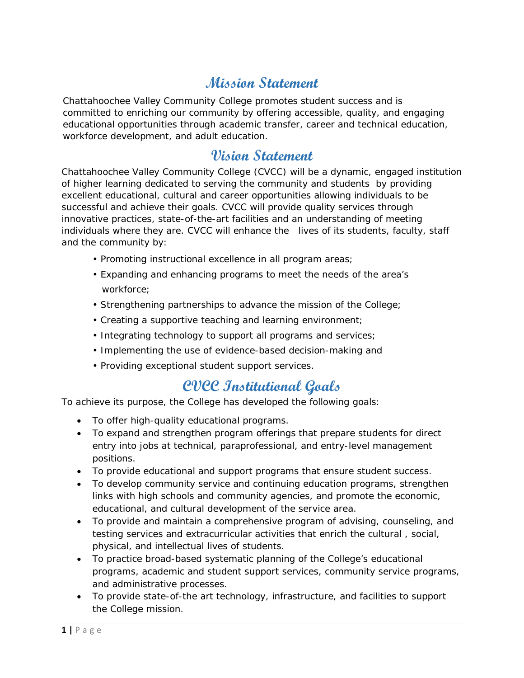## **Mission Statement**

Chattahoochee Valley Community College promotes student success and is committed to enriching our community by offering accessible, quality, and engaging educational opportunities through academic transfer, career and technical education, workforce development, and adult education.

## **Vision Statement**

Chattahoochee Valley Community College (CVCC) will be a dynamic, engaged institution of higher learning dedicated to serving the community and students by providing excellent educational, cultural and career opportunities allowing individuals to be successful and achieve their goals. CVCC will provide quality services through innovative practices, state-of-the-art facilities and an understanding of meeting individuals where they are. CVCC will enhance the lives of its students, faculty, staff and the community by:

- Promoting instructional excellence in all program areas;
- Expanding and enhancing programs to meet the needs of the area's workforce;
- Strengthening partnerships to advance the mission of the College;
- Creating a supportive teaching and learning environment;
- Integrating technology to support all programs and services;
- Implementing the use of evidence-based decision-making and
- Providing exceptional student support services.

## **CVCC Institutional Goals**

To achieve its purpose, the College has developed the following goals:

- To offer high-quality educational programs.
- To expand and strengthen program offerings that prepare students for direct entry into jobs at technical, paraprofessional, and entry-level management positions.
- To provide educational and support programs that ensure student success.
- To develop community service and continuing education programs, strengthen links with high schools and community agencies, and promote the economic, educational, and cultural development of the service area.
- To provide and maintain a comprehensive program of advising, counseling, and testing services and extracurricular activities that enrich the cultural , social, physical, and intellectual lives of students.
- To practice broad-based systematic planning of the College's educational programs, academic and student support services, community service programs, and administrative processes.
- To provide state-of-the art technology, infrastructure, and facilities to support the College mission.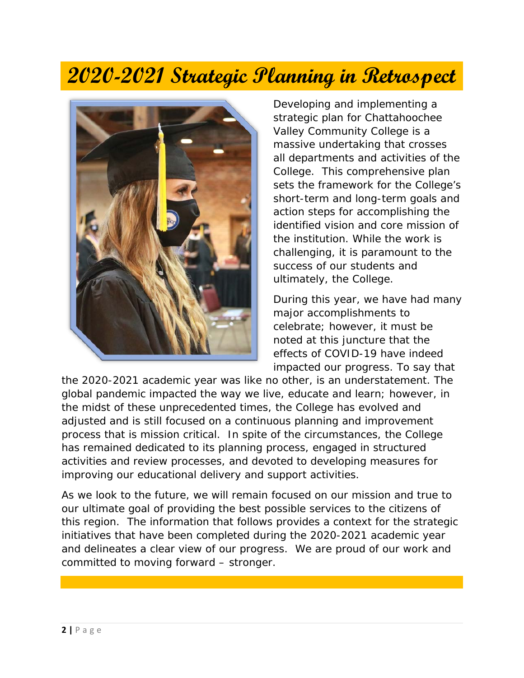## **2020-2021 Strategic Planning in Retrospect**



Developing and implementing a strategic plan for Chattahoochee Valley Community College is a massive undertaking that crosses all departments and activities of the College. This comprehensive plan sets the framework for the College's short-term and long-term goals and action steps for accomplishing the identified vision and core mission of the institution. While the work is challenging, it is paramount to the success of our students and ultimately, the College.

During this year, we have had many major accomplishments to celebrate; however, it must be noted at this juncture that the effects of COVID-19 have indeed impacted our progress. To say that

the 2020-2021 academic year was like no other, is an understatement. The global pandemic impacted the way we live, educate and learn; however, in the midst of these unprecedented times, the College has evolved and adjusted and is still focused on a continuous planning and improvement process that is mission critical. In spite of the circumstances, the College has remained dedicated to its planning process, engaged in structured activities and review processes, and devoted to developing measures for improving our educational delivery and support activities.

As we look to the future, we will remain focused on our mission and true to our ultimate goal of providing the best possible services to the citizens of this region. The information that follows provides a context for the strategic initiatives that have been completed during the 2020-2021 academic year and delineates a clear view of our progress. We are proud of our work and committed to moving forward – stronger.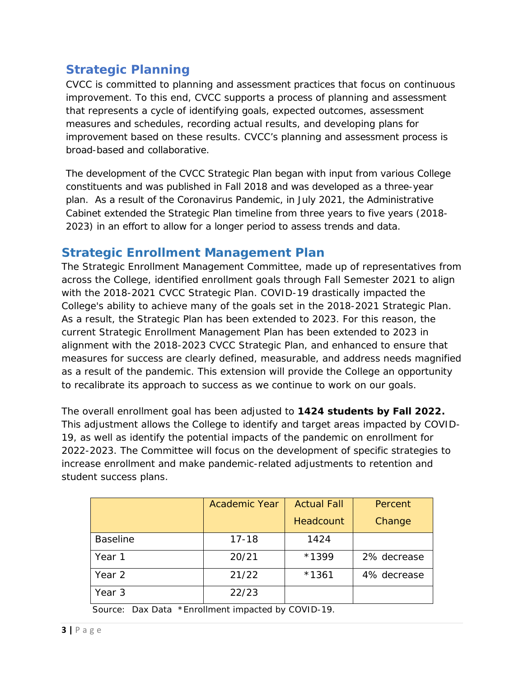## **Strategic Planning**

CVCC is committed to planning and assessment practices that focus on continuous improvement. To this end, CVCC supports a process of planning and assessment that represents a cycle of identifying goals, expected outcomes, assessment measures and schedules, recording actual results, and developing plans for improvement based on these results. CVCC's planning and assessment process is broad-based and collaborative.

The development of the *CVCC Strategic Plan* began with input from various College constituents and was published in Fall 2018 and was developed as a three-year plan. As a result of the Coronavirus Pandemic, in July 2021, the Administrative Cabinet extended the Strategic Plan timeline from three years to five years (2018- 2023) in an effort to allow for a longer period to assess trends and data*.*

#### **Strategic Enrollment Management Plan**

The Strategic Enrollment Management Committee, made up of representatives from across the College, identified enrollment goals through Fall Semester 2021 to align with the 2018-2021 CVCC Strategic Plan. COVID-19 drastically impacted the College's ability to achieve many of the goals set in the 2018-2021 Strategic Plan. As a result, the Strategic Plan has been extended to 2023. For this reason, the current Strategic Enrollment Management Plan has been extended to 2023 in alignment with the 2018-2023 CVCC Strategic Plan, and enhanced to ensure that measures for success are clearly defined, measurable, and address needs magnified as a result of the pandemic. This extension will provide the College an opportunity to recalibrate its approach to success as we continue to work on our goals.

The overall enrollment goal has been adjusted to **1424 students by Fall 2022.** This adjustment allows the College to identify and target areas impacted by COVID-19, as well as identify the potential impacts of the pandemic on enrollment for 2022-2023. The Committee will focus on the development of specific strategies to increase enrollment and make pandemic-related adjustments to retention and student success plans.

|                 | <b>Academic Year</b> | <b>Actual Fall</b> | Percent     |
|-----------------|----------------------|--------------------|-------------|
|                 |                      | Headcount          | Change      |
| <b>Baseline</b> | $17 - 18$            | 1424               |             |
| Year 1          | 20/21                | *1399              | 2% decrease |
| Year 2          | 21/22                | $*1361$            | 4% decrease |
| Year 3          | 22/23                |                    |             |

Source: Dax Data \*Enrollment impacted by COVID-19.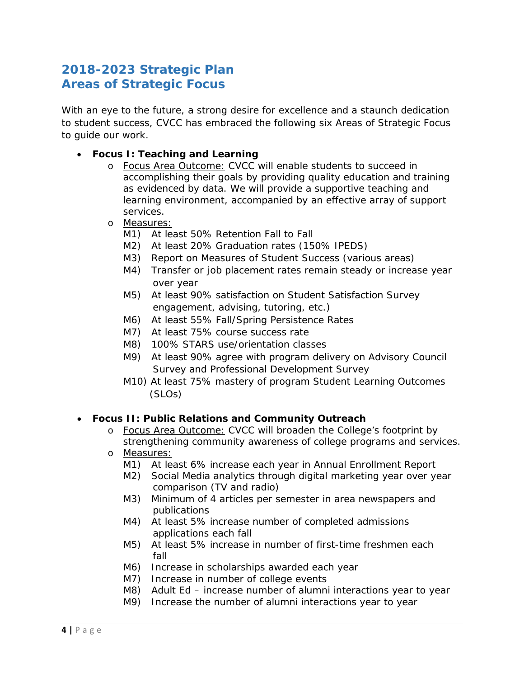## **2018-2023 Strategic Plan Areas of Strategic Focus**

With an eye to the future, a strong desire for excellence and a staunch dedication to student success, CVCC has embraced the following six Areas of Strategic Focus to guide our work.

- **Focus I: Teaching and Learning**
	- o Focus Area Outcome: CVCC will enable students to succeed in accomplishing their goals by providing quality education and training as evidenced by data. We will provide a supportive teaching and learning environment, accompanied by an effective array of support services.
	- o Measures:
		- M1) At least 50% Retention Fall to Fall
		- M2) At least 20% Graduation rates (150% IPEDS)
		- M3) Report on Measures of Student Success (various areas)
		- M4) Transfer or job placement rates remain steady or increase year over year
		- M5) At least 90% satisfaction on Student Satisfaction Survey engagement, advising, tutoring, etc.)
		- M6) At least 55% Fall/Spring Persistence Rates
		- M7) At least 75% course success rate
		- M8) 100% STARS use/orientation classes
		- M9) At least 90% agree with program delivery on Advisory Council Survey and Professional Development Survey
		- M10) At least 75% mastery of program Student Learning Outcomes (SLOs)

#### • **Focus II: Public Relations and Community Outreach**

- o Focus Area Outcome: CVCC will broaden the College's footprint by strengthening community awareness of college programs and services. o Measures:
	- M1) At least 6% increase each year in Annual Enrollment Report
	- M2) Social Media analytics through digital marketing year over year comparison (TV and radio)
	- M3) Minimum of 4 articles per semester in area newspapers and publications
	- M4) At least 5% increase number of completed admissions applications each fall
	- M5) At least 5% increase in number of first-time freshmen each fall
	- M6) Increase in scholarships awarded each year
	- M7) Increase in number of college events
	- M8) Adult Ed increase number of alumni interactions year to year
	- M9) Increase the number of alumni interactions year to year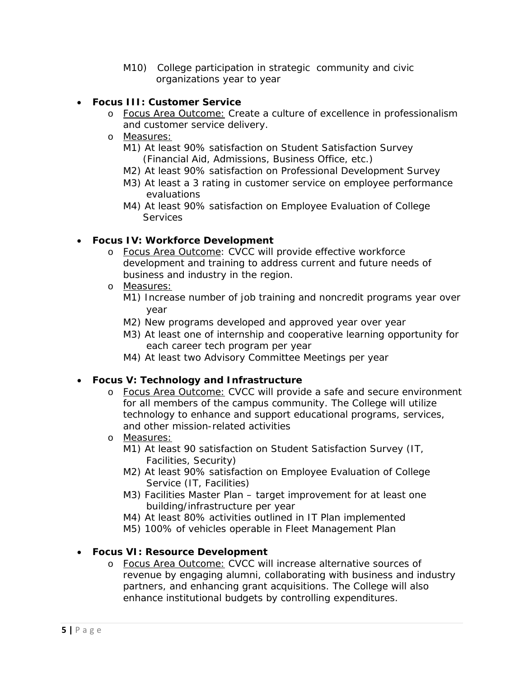M10) College participation in strategic community and civic organizations year to year

#### • **Focus III: Customer Service**

- o Focus Area Outcome: Create a culture of excellence in professionalism and customer service delivery.
- o Measures:
	- M1) At least 90% satisfaction on Student Satisfaction Survey (Financial Aid, Admissions, Business Office, etc.)
	- M2) At least 90% satisfaction on Professional Development Survey
	- M3) At least a 3 rating in customer service on employee performance evaluations
	- M4) At least 90% satisfaction on Employee Evaluation of College **Services**

#### • **Focus IV: Workforce Development**

- o Focus Area Outcome: CVCC will provide effective workforce development and training to address current and future needs of business and industry in the region.
- o Measures:
	- M1) Increase number of job training and noncredit programs year over year
	- M2) New programs developed and approved year over year
	- M3) At least one of internship and cooperative learning opportunity for each career tech program per year
	- M4) At least two Advisory Committee Meetings per year

#### • **Focus V: Technology and Infrastructure**

- o Focus Area Outcome: CVCC will provide a safe and secure environment for all members of the campus community. The College will utilize technology to enhance and support educational programs, services, and other mission-related activities
- o Measures:
	- M1) At least 90 satisfaction on Student Satisfaction Survey (IT, Facilities, Security)
	- M2) At least 90% satisfaction on Employee Evaluation of College Service (IT, Facilities)
	- M3) Facilities Master Plan target improvement for at least one building/infrastructure per year
	- M4) At least 80% activities outlined in IT Plan implemented
	- M5) 100% of vehicles operable in Fleet Management Plan

#### • **Focus VI: Resource Development**

o Focus Area Outcome: CVCC will increase alternative sources of revenue by engaging alumni, collaborating with business and industry partners, and enhancing grant acquisitions. The College will also enhance institutional budgets by controlling expenditures.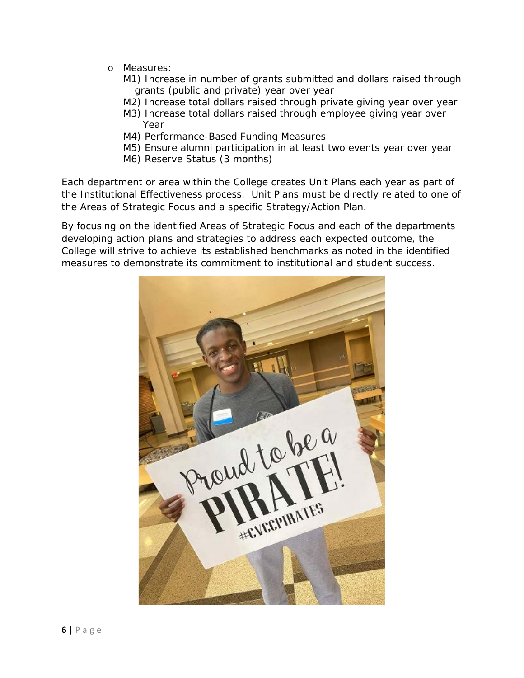- o Measures:
	- M1) Increase in number of grants submitted and dollars raised through grants (public and private) year over year
	- M2) Increase total dollars raised through private giving year over year
	- M3) Increase total dollars raised through employee giving year over Year
	- M4) Performance-Based Funding Measures
	- M5) Ensure alumni participation in at least two events year over year
	- M6) Reserve Status (3 months)

Each department or area within the College creates Unit Plans each year as part of the Institutional Effectiveness process. Unit Plans must be directly related to one of the Areas of Strategic Focus and a specific Strategy/Action Plan.

By focusing on the identified Areas of Strategic Focus and each of the departments developing action plans and strategies to address each expected outcome, the College will strive to achieve its established benchmarks as noted in the identified measures to demonstrate its commitment to institutional and student success.

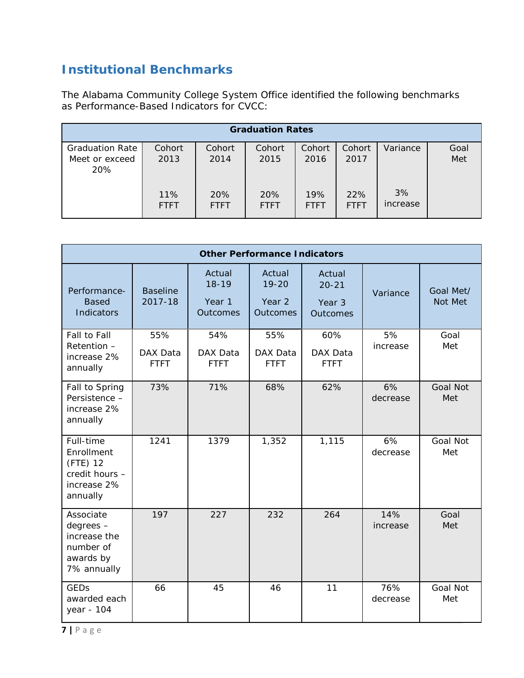## **Institutional Benchmarks**

The Alabama Community College System Office identified the following benchmarks as Performance-Based Indicators for CVCC:

|                                                        |                    |                    | <b>Graduation Rates</b> |                    |                    |                |             |
|--------------------------------------------------------|--------------------|--------------------|-------------------------|--------------------|--------------------|----------------|-------------|
| <b>Graduation Rate</b><br>Meet or exceed<br><b>20%</b> | Cohort<br>2013     | Cohort<br>2014     | Cohort<br>2015          | Cohort<br>2016     | Cohort<br>2017     | Variance       | Goal<br>Met |
|                                                        | 11%<br><b>FTFT</b> | 20%<br><b>FTFT</b> | 20%<br><b>FTFT</b>      | 19%<br><b>FTFT</b> | 22%<br><b>FTFT</b> | 3%<br>increase |             |

| <b>Other Performance Indicators</b>                                              |                                |                                           |                                           |                                                  |                 |                        |
|----------------------------------------------------------------------------------|--------------------------------|-------------------------------------------|-------------------------------------------|--------------------------------------------------|-----------------|------------------------|
| Performance-<br><b>Based</b><br>Indicators                                       | <b>Baseline</b><br>2017-18     | Actual<br>$18 - 19$<br>Year 1<br>Outcomes | Actual<br>$19 - 20$<br>Year 2<br>Outcomes | Actual<br>$20 - 21$<br>Year 3<br><b>Outcomes</b> | Variance        | Goal Met/<br>Not Met   |
| Fall to Fall<br>Retention -<br>increase 2%<br>annually                           | 55%<br>DAX Data<br><b>FTFT</b> | 54%<br>DAX Data<br><b>FTFT</b>            | 55%<br>DAX Data<br><b>FTFT</b>            | 60%<br>DAX Data<br><b>FTFT</b>                   | 5%<br>increase  | Goal<br>Met            |
| Fall to Spring<br>Persistence -<br>increase 2%<br>annually                       | 73%                            | 71%                                       | 68%                                       | 62%                                              | 6%<br>decrease  | <b>Goal Not</b><br>Met |
| Full-time<br>Enrollment<br>(FTE) 12<br>credit hours -<br>increase 2%<br>annually | 1241                           | 1379                                      | 1,352                                     | 1,115                                            | 6%<br>decrease  | <b>Goal Not</b><br>Met |
| Associate<br>degrees -<br>increase the<br>number of<br>awards by<br>7% annually  | 197                            | 227                                       | 232                                       | 264                                              | 14%<br>increase | Goal<br>Met            |
| <b>GEDs</b><br>awarded each<br>year - 104                                        | 66                             | 45                                        | 46                                        | 11                                               | 76%<br>decrease | <b>Goal Not</b><br>Met |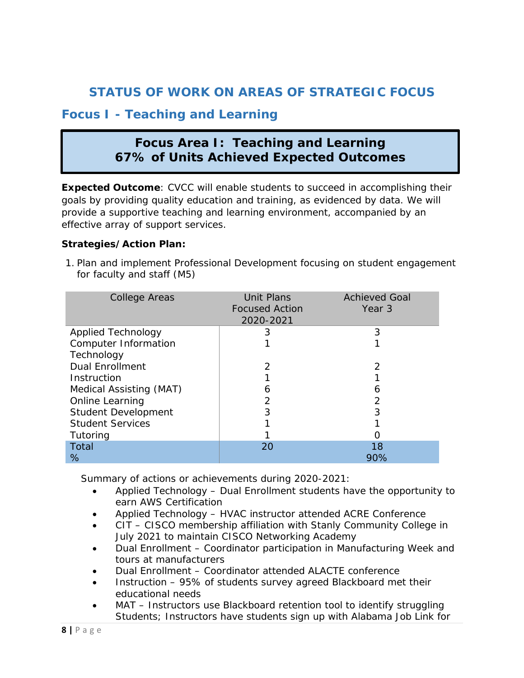## **STATUS OF WORK ON AREAS OF STRATEGIC FOCUS**

## **Focus I - Teaching and Learning**

## **Focus Area I: Teaching and Learning 67% of Units Achieved Expected Outcomes**

**Expected Outcome**: CVCC will enable students to succeed in accomplishing their goals by providing quality education and training, as evidenced by data. We will provide a supportive teaching and learning environment, accompanied by an effective array of support services.

#### **Strategies/Action Plan:**

1. Plan and implement Professional Development focusing on student engagement for faculty and staff (M5)

| <b>College Areas</b>       | <b>Unit Plans</b><br><b>Focused Action</b><br>2020-2021 | <b>Achieved Goal</b><br>Year 3 |
|----------------------------|---------------------------------------------------------|--------------------------------|
| <b>Applied Technology</b>  | 3                                                       | 3                              |
| Computer Information       |                                                         |                                |
| Technology                 |                                                         |                                |
| <b>Dual Enrollment</b>     | $\mathcal{P}$                                           | $\mathcal{P}$                  |
| Instruction                |                                                         |                                |
| Medical Assisting (MAT)    | 6                                                       | 6                              |
| Online Learning            | 2                                                       | $\overline{2}$                 |
| <b>Student Development</b> | 3                                                       | 3                              |
| <b>Student Services</b>    |                                                         |                                |
| Tutoring                   |                                                         |                                |
| Total                      | 20                                                      | 18                             |
| %                          |                                                         | 90%                            |

- Applied Technology Dual Enrollment students have the opportunity to earn AWS Certification
- Applied Technology HVAC instructor attended ACRE Conference
- CIT CISCO membership affiliation with Stanly Community College in July 2021 to maintain CISCO Networking Academy
- Dual Enrollment Coordinator participation in Manufacturing Week and tours at manufacturers
- Dual Enrollment Coordinator attended ALACTE conference
- Instruction 95% of students survey agreed Blackboard met their educational needs
- MAT Instructors use Blackboard retention tool to identify struggling Students; Instructors have students sign up with Alabama Job Link for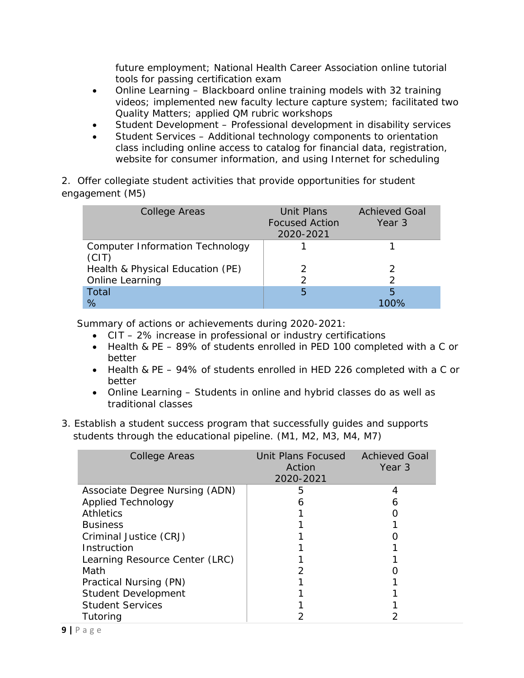future employment; National Health Career Association online tutorial tools for passing certification exam

- Online Learning Blackboard online training models with 32 training videos; implemented new faculty lecture capture system; facilitated two Quality Matters; applied QM rubric workshops
- Student Development Professional development in disability services
- Student Services Additional technology components to orientation class including online access to catalog for financial data, registration, website for consumer information, and using Internet for scheduling

2. Offer collegiate student activities that provide opportunities for student engagement (M5)

| College Areas                                   | <b>Unit Plans</b><br><b>Focused Action</b><br>2020-2021 | <b>Achieved Goal</b><br>Year 3 |
|-------------------------------------------------|---------------------------------------------------------|--------------------------------|
| <b>Computer Information Technology</b><br>(CIT) |                                                         |                                |
| Health & Physical Education (PE)                |                                                         |                                |
| Online Learning                                 | $\mathcal{P}$                                           |                                |
| Total                                           | 5                                                       | 5                              |
| ℅                                               |                                                         |                                |

- CIT 2% increase in professional or industry certifications
- Health & PE 89% of students enrolled in PED 100 completed with a C or better
- Health & PE 94% of students enrolled in HED 226 completed with a C or better
- Online Learning Students in online and hybrid classes do as well as traditional classes
- 3. Establish a student success program that successfully guides and supports students through the educational pipeline. (M1, M2, M3, M4, M7)

| <b>College Areas</b>           | Unit Plans Focused<br>Action<br>2020-2021 | <b>Achieved Goal</b><br>Year 3 |
|--------------------------------|-------------------------------------------|--------------------------------|
| Associate Degree Nursing (ADN) | 5                                         | 4                              |
| <b>Applied Technology</b>      |                                           | h                              |
| <b>Athletics</b>               |                                           |                                |
| <b>Business</b>                |                                           |                                |
| Criminal Justice (CRJ)         |                                           |                                |
| Instruction                    |                                           |                                |
| Learning Resource Center (LRC) |                                           |                                |
| Math                           |                                           |                                |
| Practical Nursing (PN)         |                                           |                                |
| <b>Student Development</b>     |                                           |                                |
| <b>Student Services</b>        |                                           |                                |
| Tutoring                       |                                           |                                |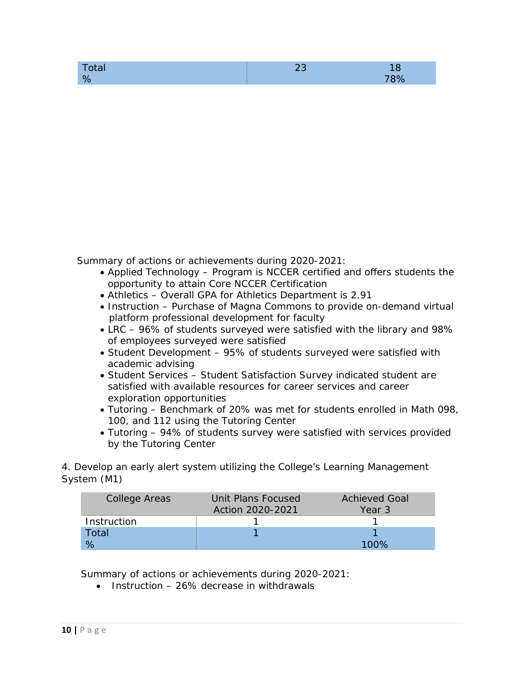| tan |  |
|-----|--|
| ю.  |  |

- Applied Technology Program is NCCER certified and offers students the opportunity to attain Core NCCER Certification
- Athletics Overall GPA for Athletics Department is 2.91
- Instruction Purchase of Magna Commons to provide on-demand virtual platform professional development for faculty
- LRC 96% of students surveyed were satisfied with the library and 98% of employees surveyed were satisfied
- Student Development 95% of students surveyed were satisfied with academic advising
- Student Services Student Satisfaction Survey indicated student are satisfied with available resources for career services and career exploration opportunities
- Tutoring Benchmark of 20% was met for students enrolled in Math 098, 100, and 112 using the Tutoring Center
- Tutoring 94% of students survey were satisfied with services provided by the Tutoring Center

4. Develop an early alert system utilizing the College's Learning Management System (M1)

| College Areas | Unit Plans Focused | <b>Achieved Goal</b> |
|---------------|--------------------|----------------------|
|               | Action 2020-2021   | Year 3               |
| Instruction   |                    |                      |
| Total         |                    |                      |
|               |                    | 100%                 |

Summary of actions or achievements during 2020-2021:

 $\bullet$  Instruction – 26% decrease in withdrawals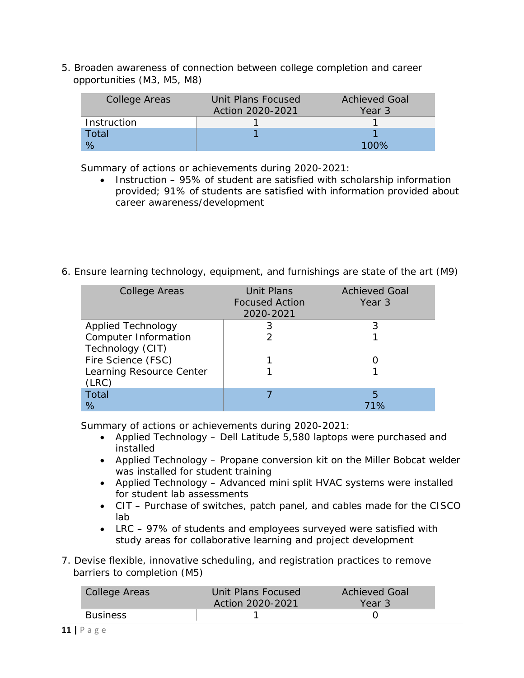5. Broaden awareness of connection between college completion and career opportunities (M3, M5, M8)

| College Areas | Unit Plans Focused | <b>Achieved Goal</b> |
|---------------|--------------------|----------------------|
|               | Action 2020-2021   | Year 3               |
| Instruction   |                    |                      |
| Total         |                    |                      |
|               |                    | 100%                 |

Summary of actions or achievements during 2020-2021:

- Instruction 95% of student are satisfied with scholarship information provided; 91% of students are satisfied with information provided about career awareness/development
- 6. Ensure learning technology, equipment, and furnishings are state of the art (M9)

| <b>College Areas</b>      | <b>Unit Plans</b><br><b>Focused Action</b><br>2020-2021 | <b>Achieved Goal</b><br>Year 3 |
|---------------------------|---------------------------------------------------------|--------------------------------|
| <b>Applied Technology</b> | 3                                                       | 3                              |
| Computer Information      |                                                         |                                |
| Technology (CIT)          |                                                         |                                |
| Fire Science (FSC)        |                                                         |                                |
| Learning Resource Center  |                                                         |                                |
| (LRC)                     |                                                         |                                |
| <b>Total</b>              |                                                         | 5                              |
| ℅                         |                                                         | 71%                            |

- Applied Technology Dell Latitude 5,580 laptops were purchased and installed
- Applied Technology Propane conversion kit on the Miller Bobcat welder was installed for student training
- Applied Technology Advanced mini split HVAC systems were installed for student lab assessments
- CIT Purchase of switches, patch panel, and cables made for the CISCO lab
- LRC 97% of students and employees surveyed were satisfied with study areas for collaborative learning and project development
- 7. Devise flexible, innovative scheduling, and registration practices to remove barriers to completion (M5)

| College Areas   | Unit Plans Focused<br>Action 2020-2021 | Achieved Goal<br>Year 3 |
|-----------------|----------------------------------------|-------------------------|
| <b>Business</b> |                                        |                         |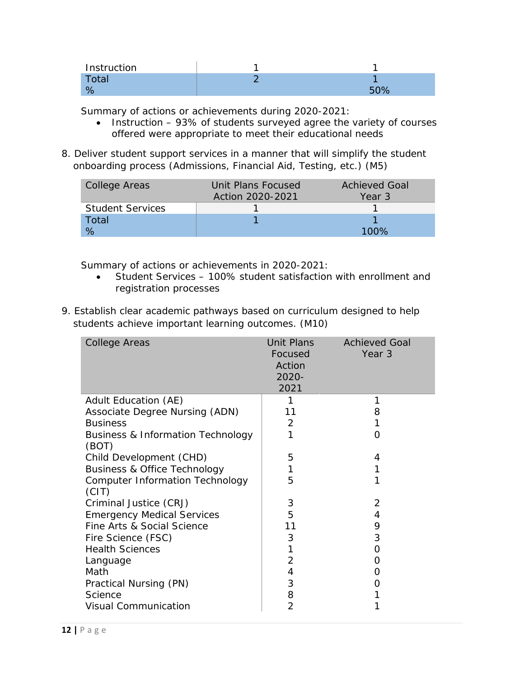| Instruction  |  |
|--------------|--|
| <b>Total</b> |  |
|              |  |

- Instruction 93% of students surveyed agree the variety of courses offered were appropriate to meet their educational needs
- 8. Deliver student support services in a manner that will simplify the student onboarding process (Admissions, Financial Aid, Testing, etc.) (M5)

| College Areas           | Unit Plans Focused | <b>Achieved Goal</b> |
|-------------------------|--------------------|----------------------|
|                         | Action 2020-2021   | Year 3               |
| <b>Student Services</b> |                    |                      |
| Total                   |                    |                      |
| $\%$                    |                    | 100 <sup>%</sup>     |

- Student Services 100% student satisfaction with enrollment and registration processes
- 9. Establish clear academic pathways based on curriculum designed to help students achieve important learning outcomes. (M10)

| College Areas                                         | Unit Plans<br>Focused<br>Action<br>2020-<br>2021 | <b>Achieved Goal</b><br>Year 3 |
|-------------------------------------------------------|--------------------------------------------------|--------------------------------|
| Adult Education (AE)                                  | 1                                                | 1                              |
| Associate Degree Nursing (ADN)                        | 11                                               | 8                              |
| <b>Business</b>                                       | 2                                                | 1                              |
| <b>Business &amp; Information Technology</b><br>(BOT) | 1                                                | O                              |
| Child Development (CHD)                               | 5                                                | 4                              |
| <b>Business &amp; Office Technology</b>               | 1                                                | 1                              |
| <b>Computer Information Technology</b><br>(CIT)       | 5                                                | 1                              |
| Criminal Justice (CRJ)                                | 3                                                | $\overline{2}$                 |
| <b>Emergency Medical Services</b>                     | 5                                                | 4                              |
| Fine Arts & Social Science                            | 11                                               | 9                              |
| Fire Science (FSC)                                    | 3                                                | 3                              |
| <b>Health Sciences</b>                                |                                                  | 0                              |
| Language                                              | $\overline{2}$                                   | O                              |
| Math                                                  | 4                                                | Ω                              |
| Practical Nursing (PN)                                | 3                                                | O                              |
| Science                                               | 8                                                |                                |
| <b>Visual Communication</b>                           | $\overline{2}$                                   |                                |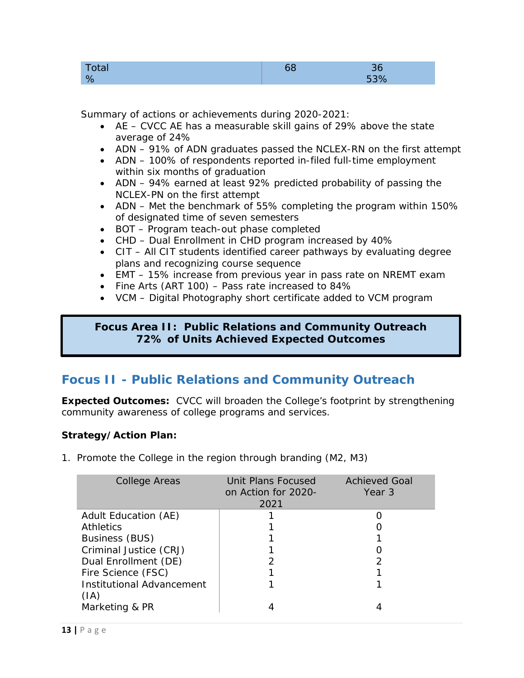| ιαι     |            |
|---------|------------|
| $\circ$ | $\sqrt{2}$ |

- AE CVCC AE has a measurable skill gains of 29% above the state average of 24%
- ADN 91% of ADN graduates passed the NCLEX-RN on the first attempt
- ADN 100% of respondents reported in-filed full-time employment within six months of graduation
- ADN 94% earned at least 92% predicted probability of passing the NCLEX-PN on the first attempt
- ADN Met the benchmark of 55% completing the program within 150% of designated time of seven semesters
- BOT Program teach-out phase completed
- CHD Dual Enrollment in CHD program increased by 40%
- CIT All CIT students identified career pathways by evaluating degree plans and recognizing course sequence
- EMT 15% increase from previous year in pass rate on NREMT exam
- Fine Arts (ART 100) Pass rate increased to 84%
- VCM Digital Photography short certificate added to VCM program

#### **Focus Area II: Public Relations and Community Outreach 72% of Units Achieved Expected Outcomes**

## **Focus II - Public Relations and Community Outreach**

**Expected Outcomes:** CVCC will broaden the College's footprint by strengthening community awareness of college programs and services.

#### **Strategy/Action Plan:**

1. Promote the College in the region through branding (M2, M3)

| <b>College Areas</b>                     | Unit Plans Focused<br>on Action for 2020-<br>2021 | <b>Achieved Goal</b><br>Year 3 |
|------------------------------------------|---------------------------------------------------|--------------------------------|
| Adult Education (AE)                     |                                                   |                                |
| <b>Athletics</b>                         |                                                   |                                |
| Business (BUS)                           |                                                   |                                |
| Criminal Justice (CRJ)                   |                                                   |                                |
| Dual Enrollment (DE)                     |                                                   |                                |
| Fire Science (FSC)                       |                                                   |                                |
| <b>Institutional Advancement</b><br>(IA) |                                                   |                                |
| Marketing & PR                           |                                                   |                                |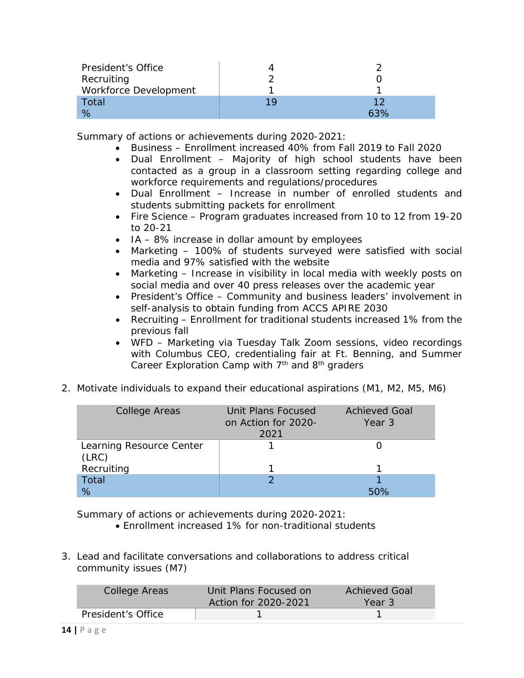| President's Office    |     |     |
|-----------------------|-----|-----|
| Recruiting            |     |     |
| Workforce Development |     |     |
| Total                 | 1 Q |     |
|                       |     | 63% |

- Business Enrollment increased 40% from Fall 2019 to Fall 2020
- Dual Enrollment Majority of high school students have been contacted as a group in a classroom setting regarding college and workforce requirements and regulations/procedures
- Dual Enrollment Increase in number of enrolled students and students submitting packets for enrollment
- Fire Science Program graduates increased from 10 to 12 from 19-20 to 20-21
- IA 8% increase in dollar amount by employees
- Marketing 100% of students surveyed were satisfied with social media and 97% satisfied with the website
- Marketing Increase in visibility in local media with weekly posts on social media and over 40 press releases over the academic year
- President's Office Community and business leaders' involvement in self-analysis to obtain funding from ACCS APIRE 2030
- Recruiting Enrollment for traditional students increased 1% from the previous fall
- WFD Marketing via Tuesday Talk Zoom sessions, video recordings with Columbus CEO, credentialing fair at Ft. Benning, and Summer Career Exploration Camp with  $7<sup>th</sup>$  and  $8<sup>th</sup>$  graders
- 2. Motivate individuals to expand their educational aspirations (M1, M2, M5, M6)

| College Areas                     | Unit Plans Focused<br>on Action for 2020-<br>2021 | <b>Achieved Goal</b><br>Year 3 |
|-----------------------------------|---------------------------------------------------|--------------------------------|
| Learning Resource Center<br>(LRC) |                                                   |                                |
| Recruiting                        |                                                   |                                |
| Total                             |                                                   |                                |
| %                                 |                                                   |                                |

- Enrollment increased 1% for non-traditional students
- 3. Lead and facilitate conversations and collaborations to address critical community issues (M7)

| College Areas      | Unit Plans Focused on<br>Action for 2020-2021 | Achieved Goal<br>Year 3 |
|--------------------|-----------------------------------------------|-------------------------|
| President's Office |                                               |                         |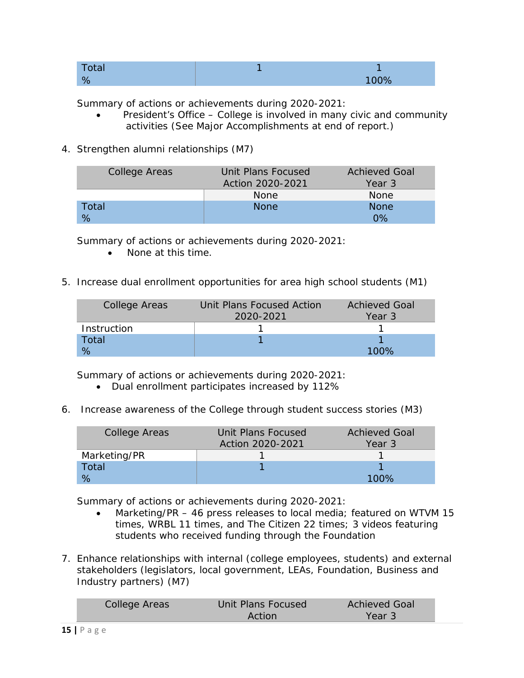| Total |      |
|-------|------|
| %     | 100% |

- President's Office College is involved in many civic and community activities (See Major Accomplishments at end of report.)
- 4. Strengthen alumni relationships (M7)

| College Areas | Unit Plans Focused | <b>Achieved Goal</b> |
|---------------|--------------------|----------------------|
|               | Action 2020-2021   | Year 3               |
|               | <b>None</b>        | <b>None</b>          |
| Total         | <b>None</b>        | <b>None</b>          |
| %             |                    | $0\%$                |

Summary of actions or achievements during 2020-2021:

- None at this time.
- 5. Increase dual enrollment opportunities for area high school students (M1)

| College Areas | Unit Plans Focused Action | <b>Achieved Goal</b> |
|---------------|---------------------------|----------------------|
|               | 2020-2021                 | Year 3               |
| Instruction   |                           |                      |
| Total         |                           |                      |
|               |                           | 100%                 |

Summary of actions or achievements during 2020-2021:

- Dual enrollment participates increased by 112%
- 6. Increase awareness of the College through student success stories (M3)

| College Areas | Unit Plans Focused | <b>Achieved Goal</b> |
|---------------|--------------------|----------------------|
|               | Action 2020-2021   | Year 3               |
| Marketing/PR  |                    |                      |
| Total         |                    |                      |
|               |                    | 100%                 |

- Marketing/PR 46 press releases to local media; featured on WTVM 15 times, WRBL 11 times, and The Citizen 22 times; 3 videos featuring students who received funding through the Foundation
- 7. Enhance relationships with internal (college employees, students) and external stakeholders (legislators, local government, LEAs, Foundation, Business and Industry partners) (M7)

| College Areas | Unit Plans Focused | <b>Achieved Goal</b> |
|---------------|--------------------|----------------------|
|               | Action             | Year 3               |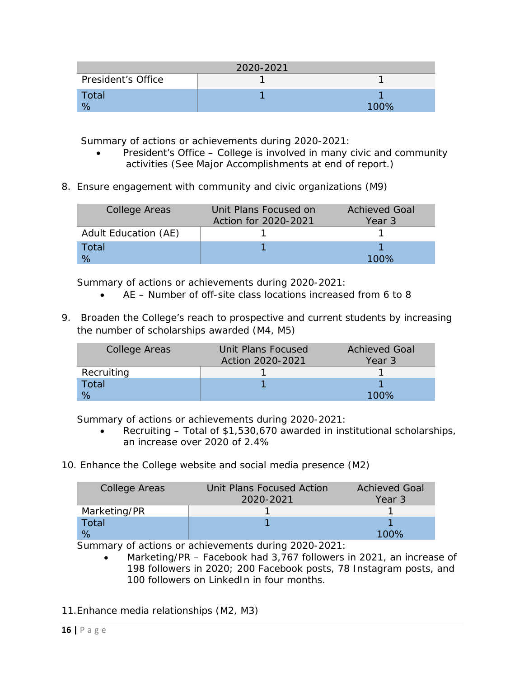|                    | 2020-2021 |         |
|--------------------|-----------|---------|
| President's Office |           |         |
| Total              |           |         |
|                    |           | $100\%$ |

- President's Office College is involved in many civic and community activities (See Major Accomplishments at end of report.)
- 8. Ensure engagement with community and civic organizations (M9)

| College Areas        | Unit Plans Focused on<br>Action for 2020-2021 | <b>Achieved Goal</b><br>Year 3 |
|----------------------|-----------------------------------------------|--------------------------------|
| Adult Education (AE) |                                               |                                |
| Total                |                                               |                                |
|                      |                                               | 100%                           |

Summary of actions or achievements during 2020-2021:

- AE Number of off-site class locations increased from 6 to 8
- 9. Broaden the College's reach to prospective and current students by increasing the number of scholarships awarded (M4, M5)

| <b>College Areas</b> | Unit Plans Focused<br>Action 2020-2021 | <b>Achieved Goal</b><br>Year 3 |
|----------------------|----------------------------------------|--------------------------------|
| Recruiting           |                                        |                                |
| Total                |                                        |                                |
|                      |                                        | $100\%$                        |

Summary of actions or achievements during 2020-2021:

- Recruiting Total of \$1,530,670 awarded in institutional scholarships, an increase over 2020 of 2.4%
- 10. Enhance the College website and social media presence (M2)

| <b>College Areas</b> | Unit Plans Focused Action<br>2020-2021 | <b>Achieved Goal</b><br>Year 3 |
|----------------------|----------------------------------------|--------------------------------|
| Marketing/PR         |                                        |                                |
| Total                |                                        |                                |
|                      |                                        | 100%                           |

- Marketing/PR Facebook had 3,767 followers in 2021, an increase of 198 followers in 2020; 200 Facebook posts, 78 Instagram posts, and 100 followers on LinkedIn in four months.
- 11.Enhance media relationships (M2, M3)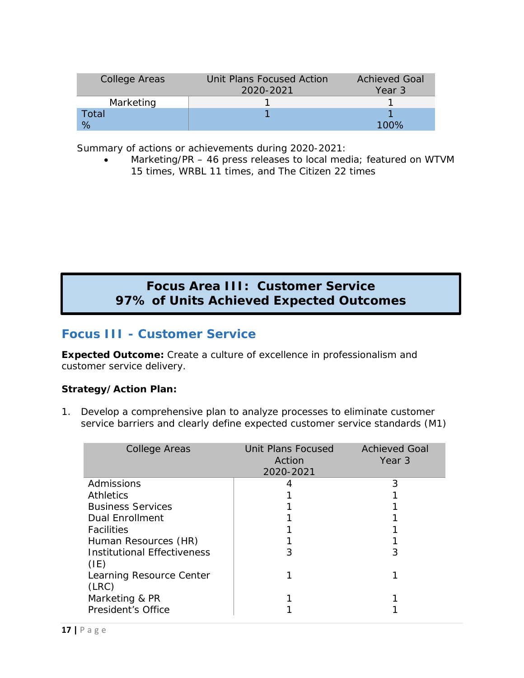| College Areas | Unit Plans Focused Action | <b>Achieved Goal</b> |
|---------------|---------------------------|----------------------|
|               | 2020-2021                 | Year 3               |
| Marketing     |                           |                      |
| Total         |                           |                      |
| $\%$          |                           | 100%                 |

• Marketing/PR – 46 press releases to local media; featured on WTVM 15 times, WRBL 11 times, and The Citizen 22 times

## **Focus Area III: Customer Service 97% of Units Achieved Expected Outcomes**

## **Focus III - Customer Service**

**Expected Outcome:** Create a culture of excellence in professionalism and customer service delivery.

#### **Strategy/Action Plan:**

1. Develop a comprehensive plan to analyze processes to eliminate customer service barriers and clearly define expected customer service standards (M1)

| <b>College Areas</b>                       | Unit Plans Focused<br>Action<br>2020-2021 | <b>Achieved Goal</b><br>Year 3 |
|--------------------------------------------|-------------------------------------------|--------------------------------|
| Admissions                                 |                                           | 3                              |
| <b>Athletics</b>                           |                                           |                                |
| <b>Business Services</b>                   |                                           |                                |
| Dual Enrollment                            |                                           |                                |
| <b>Facilities</b>                          |                                           |                                |
| Human Resources (HR)                       |                                           |                                |
| <b>Institutional Effectiveness</b><br>(IE) | 3                                         | 3                              |
| Learning Resource Center<br>(LRC)          |                                           |                                |
| Marketing & PR                             |                                           |                                |
| President's Office                         |                                           |                                |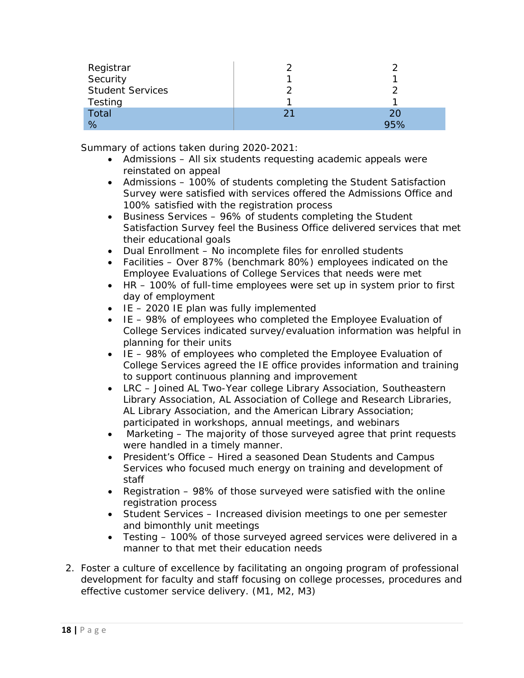| Registrar<br>Security   |    |     |
|-------------------------|----|-----|
| <b>Student Services</b> |    |     |
| Testing                 |    |     |
| Total                   | 21 | 20  |
| %                       |    | 95% |

Summary of actions taken during 2020-2021:

- Admissions All six students requesting academic appeals were reinstated on appeal
- Admissions 100% of students completing the Student Satisfaction Survey were satisfied with services offered the Admissions Office and 100% satisfied with the registration process
- Business Services 96% of students completing the Student Satisfaction Survey feel the Business Office delivered services that met their educational goals
- Dual Enrollment No incomplete files for enrolled students
- Facilities Over 87% (benchmark 80%) employees indicated on the Employee Evaluations of College Services that needs were met
- HR 100% of full-time employees were set up in system prior to first day of employment
- $\bullet$  IE 2020 IE plan was fully implemented
- IE 98% of employees who completed the Employee Evaluation of College Services indicated survey/evaluation information was helpful in planning for their units
- IE 98% of employees who completed the Employee Evaluation of College Services agreed the IE office provides information and training to support continuous planning and improvement
- LRC Joined AL Two-Year college Library Association, Southeastern Library Association, AL Association of College and Research Libraries, AL Library Association, and the American Library Association; participated in workshops, annual meetings, and webinars
- Marketing The majority of those surveyed agree that print requests were handled in a timely manner.
- President's Office Hired a seasoned Dean Students and Campus Services who focused much energy on training and development of staff
- Registration 98% of those surveyed were satisfied with the online registration process
- Student Services Increased division meetings to one per semester and bimonthly unit meetings
- Testing 100% of those surveyed agreed services were delivered in a manner to that met their education needs
- 2. Foster a culture of excellence by facilitating an ongoing program of professional development for faculty and staff focusing on college processes, procedures and effective customer service delivery. (M1, M2, M3)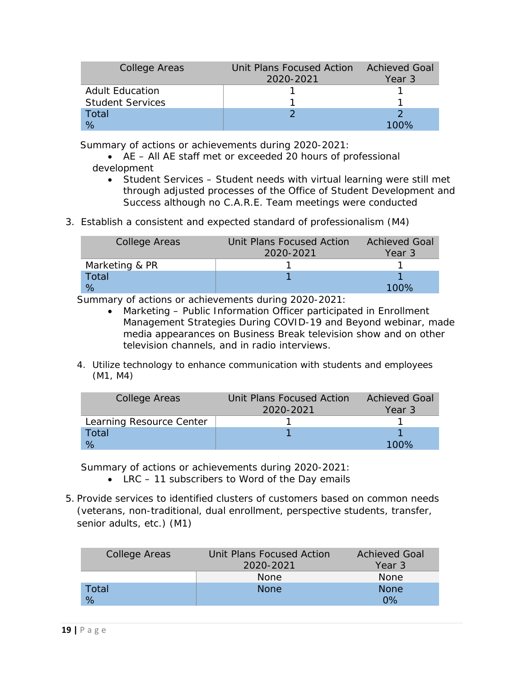| <b>College Areas</b>    | Unit Plans Focused Action | <b>Achieved Goal</b> |
|-------------------------|---------------------------|----------------------|
|                         | 2020-2021                 | Year 3               |
| <b>Adult Education</b>  |                           |                      |
| <b>Student Services</b> |                           |                      |
| Total                   |                           |                      |
| %                       |                           |                      |

- AE All AE staff met or exceeded 20 hours of professional development
	- Student Services Student needs with virtual learning were still met through adjusted processes of the Office of Student Development and Success although no C.A.R.E. Team meetings were conducted
- 3. Establish a consistent and expected standard of professionalism (M4)

| College Areas  | Unit Plans Focused Action | <b>Achieved Goal</b> |
|----------------|---------------------------|----------------------|
|                | 2020-2021                 | Year 3               |
| Marketing & PR |                           |                      |
| Total          |                           |                      |
| %              |                           | 100%                 |

Summary of actions or achievements during 2020-2021:

- Marketing Public Information Officer participated in Enrollment Management Strategies During COVID-19 and Beyond webinar, made media appearances on Business Break television show and on other television channels, and in radio interviews.
- 4. Utilize technology to enhance communication with students and employees (M1, M4)

| College Areas            | Unit Plans Focused Action | <b>Achieved Goal</b> |
|--------------------------|---------------------------|----------------------|
|                          | 2020-2021                 | Year 3               |
| Learning Resource Center |                           |                      |
| Total                    |                           |                      |
| $\%$                     |                           | 100%                 |

- LRC 11 subscribers to Word of the Day emails
- 5. Provide services to identified clusters of customers based on common needs (veterans, non-traditional, dual enrollment, perspective students, transfer, senior adults, etc.) (M1)

| College Areas | Unit Plans Focused Action | <b>Achieved Goal</b> |
|---------------|---------------------------|----------------------|
|               | 2020-2021                 | Year 3               |
|               | <b>None</b>               | <b>None</b>          |
| Total         | <b>None</b>               | <b>None</b>          |
| %             |                           | $0\%$                |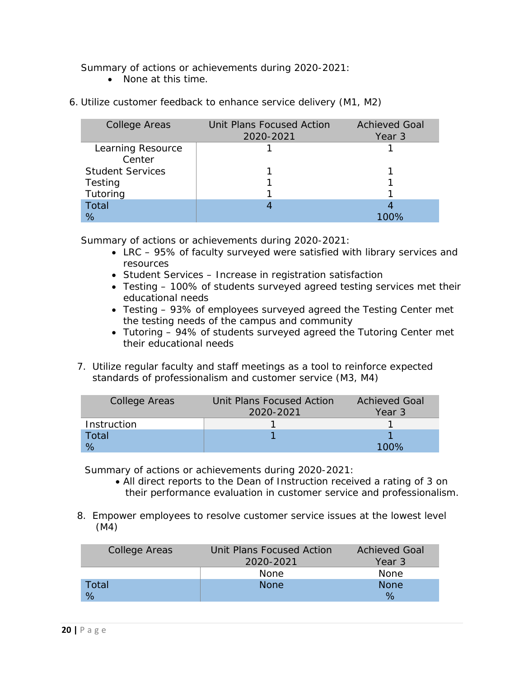• None at this time.

| <b>College Areas</b>    | Unit Plans Focused Action<br>2020-2021 | <b>Achieved Goal</b><br>Year 3 |
|-------------------------|----------------------------------------|--------------------------------|
| Learning Resource       |                                        |                                |
| Center                  |                                        |                                |
| <b>Student Services</b> |                                        |                                |
| Testing                 |                                        |                                |
| Tutoring                |                                        |                                |
| <b>Total</b>            |                                        |                                |
| %                       |                                        | 100%                           |

6. Utilize customer feedback to enhance service delivery (M1, M2)

Summary of actions or achievements during 2020-2021:

- LRC 95% of faculty surveyed were satisfied with library services and resources
- Student Services Increase in registration satisfaction
- Testing 100% of students surveyed agreed testing services met their educational needs
- Testing 93% of employees surveyed agreed the Testing Center met the testing needs of the campus and community
- Tutoring 94% of students surveyed agreed the Tutoring Center met their educational needs
- 7. Utilize regular faculty and staff meetings as a tool to reinforce expected standards of professionalism and customer service (M3, M4)

| College Areas | Unit Plans Focused Action | <b>Achieved Goal</b> |
|---------------|---------------------------|----------------------|
|               | 2020-2021                 | Year 3               |
| Instruction   |                           |                      |
| Total         |                           |                      |
|               |                           | 100%                 |

- All direct reports to the Dean of Instruction received a rating of 3 on their performance evaluation in customer service and professionalism.
- 8. Empower employees to resolve customer service issues at the lowest level (M4)

| College Areas | Unit Plans Focused Action | <b>Achieved Goal</b> |
|---------------|---------------------------|----------------------|
|               | 2020-2021                 | Year 3               |
|               | <b>None</b>               | <b>None</b>          |
| Total         | <b>None</b>               | <b>None</b>          |
| %             |                           | $\%$                 |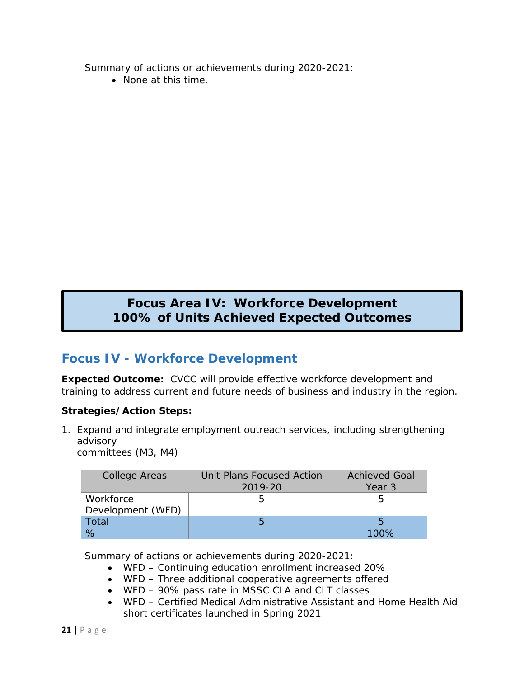• None at this time.

## **Focus Area IV: Workforce Development 100% of Units Achieved Expected Outcomes**

## **Focus IV - Workforce Development**

**Expected Outcome:** CVCC will provide effective workforce development and training to address current and future needs of business and industry in the region.

#### **Strategies/Action Steps:**

1. Expand and integrate employment outreach services, including strengthening advisory

committees (M3, M4)

| <b>College Areas</b>           | Unit Plans Focused Action<br>2019-20 | <b>Achieved Goal</b><br>Year 3 |
|--------------------------------|--------------------------------------|--------------------------------|
| Workforce<br>Development (WFD) | h                                    |                                |
| Total<br>$\%$                  | 5                                    | 5<br>$100\%$                   |

- WFD Continuing education enrollment increased 20%
- WFD Three additional cooperative agreements offered
- WFD 90% pass rate in MSSC CLA and CLT classes
- WFD Certified Medical Administrative Assistant and Home Health Aid short certificates launched in Spring 2021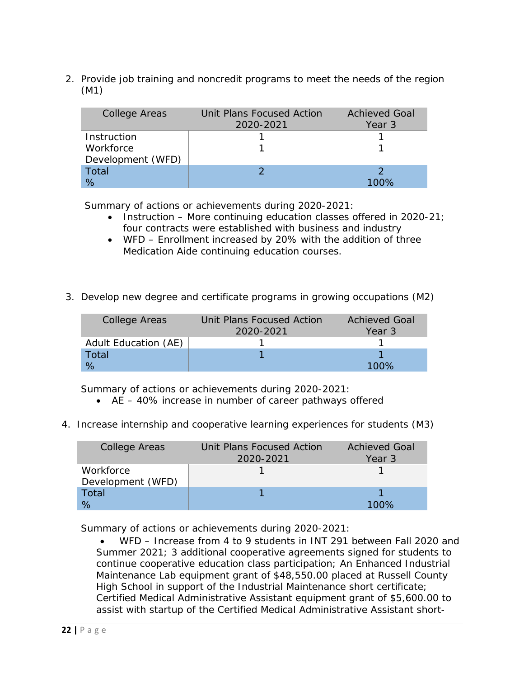2. Provide job training and noncredit programs to meet the needs of the region (M1)

| College Areas     | Unit Plans Focused Action<br>2020-2021 | <b>Achieved Goal</b><br>Year 3 |
|-------------------|----------------------------------------|--------------------------------|
| Instruction       |                                        |                                |
| Workforce         |                                        |                                |
| Development (WFD) |                                        |                                |
| Total             |                                        |                                |
|                   |                                        | 100%                           |

Summary of actions or achievements during 2020-2021:

- Instruction More continuing education classes offered in 2020-21; four contracts were established with business and industry
- WFD Enrollment increased by 20% with the addition of three Medication Aide continuing education courses.
- 3. Develop new degree and certificate programs in growing occupations (M2)

| College Areas        | Unit Plans Focused Action | <b>Achieved Goal</b> |
|----------------------|---------------------------|----------------------|
|                      | 2020-2021                 | Year 3               |
| Adult Education (AE) |                           |                      |
| Total                |                           |                      |
|                      |                           | 100%                 |

Summary of actions or achievements during 2020-2021:

- AE 40% increase in number of career pathways offered
- 4. Increase internship and cooperative learning experiences for students (M3)

| College Areas                  | Unit Plans Focused Action<br>2020-2021 | <b>Achieved Goal</b><br>Year 3 |
|--------------------------------|----------------------------------------|--------------------------------|
| Workforce<br>Development (WFD) |                                        |                                |
| Total<br>$\%$                  |                                        | 100%                           |

Summary of actions or achievements during 2020-2021:

• WFD – Increase from 4 to 9 students in INT 291 between Fall 2020 and Summer 2021; 3 additional cooperative agreements signed for students to continue cooperative education class participation; An Enhanced Industrial Maintenance Lab equipment grant of \$48,550.00 placed at Russell County High School in support of the Industrial Maintenance short certificate; Certified Medical Administrative Assistant equipment grant of \$5,600.00 to assist with startup of the Certified Medical Administrative Assistant short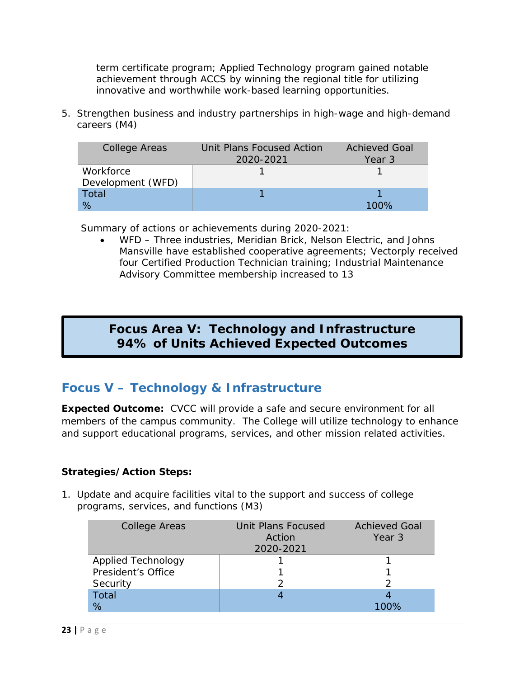term certificate program; Applied Technology program gained notable achievement through ACCS by winning the regional title for utilizing innovative and worthwhile work-based learning opportunities.

5. Strengthen business and industry partnerships in high-wage and high-demand careers (M4)

| College Areas     | Unit Plans Focused Action | <b>Achieved Goal</b> |
|-------------------|---------------------------|----------------------|
|                   | 2020-2021                 | Year 3               |
| Workforce         |                           |                      |
| Development (WFD) |                           |                      |
| Total             |                           |                      |
| $\%$              |                           |                      |

Summary of actions or achievements during 2020-2021:

• WFD – Three industries, Meridian Brick, Nelson Electric, and Johns Mansville have established cooperative agreements; Vectorply received four Certified Production Technician training; Industrial Maintenance Advisory Committee membership increased to 13

## **Focus Area V: Technology and Infrastructure Focus V - 94% of Units Achieved Expected Outcomes**

## **Focus V – Technology & Infrastructure**

**Expected Outcome:** CVCC will provide a safe and secure environment for all members of the campus community. The College will utilize technology to enhance and support educational programs, services, and other mission related activities.

#### **Strategies/Action Steps:**

1. Update and acquire facilities vital to the support and success of college programs, services, and functions (M3)

| College Areas             | Unit Plans Focused<br>Action<br>2020-2021 | <b>Achieved Goal</b><br>Year 3 |
|---------------------------|-------------------------------------------|--------------------------------|
| <b>Applied Technology</b> |                                           |                                |
| President's Office        |                                           |                                |
| Security                  |                                           |                                |
| <b>Total</b>              |                                           |                                |
| %                         |                                           | 100%                           |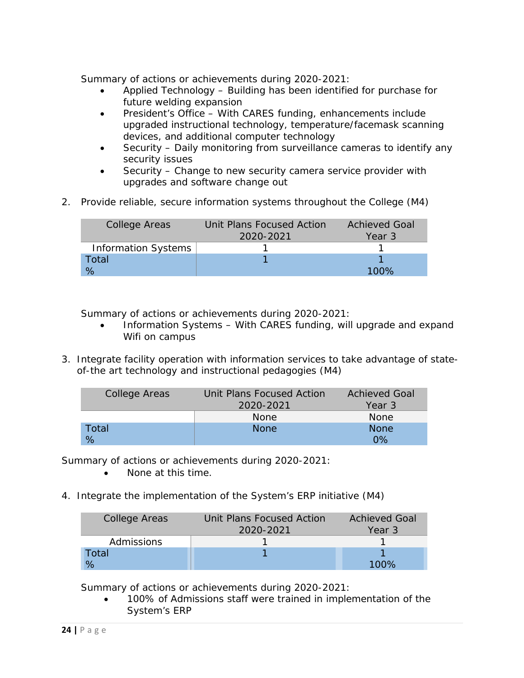- Applied Technology Building has been identified for purchase for future welding expansion
- President's Office With CARES funding, enhancements include upgraded instructional technology, temperature/facemask scanning devices, and additional computer technology
- Security Daily monitoring from surveillance cameras to identify any security issues
- Security Change to new security camera service provider with upgrades and software change out
- 2. Provide reliable, secure information systems throughout the College (M4)

| College Areas              | Unit Plans Focused Action | <b>Achieved Goal</b> |
|----------------------------|---------------------------|----------------------|
|                            | 2020-2021                 | Year 3               |
| <b>Information Systems</b> |                           |                      |
| Total                      |                           |                      |
| %                          |                           | 100%                 |

Summary of actions or achievements during 2020-2021:

- Information Systems With CARES funding, will upgrade and expand Wifi on campus
- 3. Integrate facility operation with information services to take advantage of stateof-the art technology and instructional pedagogies (M4)

| College Areas | Unit Plans Focused Action | <b>Achieved Goal</b> |
|---------------|---------------------------|----------------------|
|               | 2020-2021                 | Year 3               |
|               | <b>None</b>               | <b>None</b>          |
| Total         | <b>None</b>               | <b>None</b>          |
| %             |                           | በ%                   |

Summary of actions or achievements during 2020-2021:

- None at this time.
- 4. Integrate the implementation of the System's ERP initiative (M4)

| <b>College Areas</b> | Unit Plans Focused Action | <b>Achieved Goal</b> |
|----------------------|---------------------------|----------------------|
|                      | 2020-2021                 | Year 3               |
| <b>Admissions</b>    |                           |                      |
| Total                |                           |                      |
|                      |                           | 100%                 |

Summary of actions or achievements during 2020-2021:

• 100% of Admissions staff were trained in implementation of the System's ERP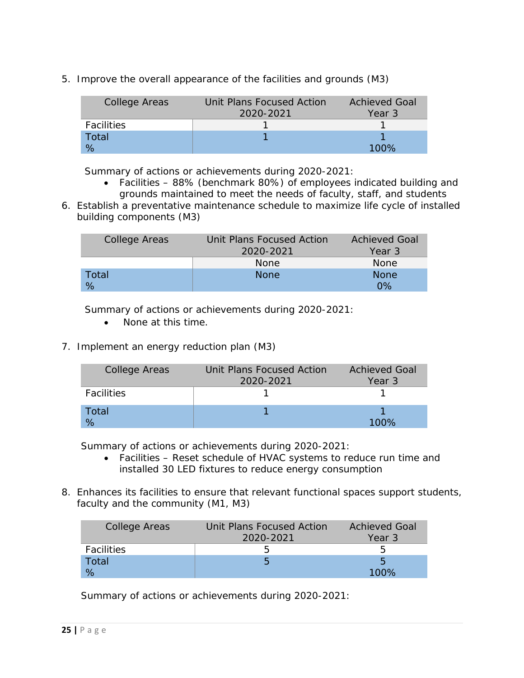5. Improve the overall appearance of the facilities and grounds (M3)

| College Areas     | Unit Plans Focused Action | <b>Achieved Goal</b> |
|-------------------|---------------------------|----------------------|
|                   | 2020-2021                 | Year 3               |
| <b>Facilities</b> |                           |                      |
| Total             |                           |                      |
| $\%$              |                           | 100%                 |

Summary of actions or achievements during 2020-2021:

- Facilities 88% (benchmark 80%) of employees indicated building and grounds maintained to meet the needs of faculty, staff, and students
- 6. Establish a preventative maintenance schedule to maximize life cycle of installed building components (M3)

| College Areas | Unit Plans Focused Action | <b>Achieved Goal</b> |
|---------------|---------------------------|----------------------|
|               | 2020-2021                 | Year 3               |
|               | <b>None</b>               | <b>None</b>          |
| Total         | <b>None</b>               | <b>None</b>          |
|               |                           | $\Omega\%$           |

Summary of actions or achievements during 2020-2021:

- None at this time.
- 7. Implement an energy reduction plan (M3)

| College Areas     | Unit Plans Focused Action<br>2020-2021 | <b>Achieved Goal</b><br>Year 3 |
|-------------------|----------------------------------------|--------------------------------|
| <b>Facilities</b> |                                        |                                |
| Total             |                                        |                                |

Summary of actions or achievements during 2020-2021:

- Facilities Reset schedule of HVAC systems to reduce run time and installed 30 LED fixtures to reduce energy consumption
- 8. Enhances its facilities to ensure that relevant functional spaces support students, faculty and the community (M1, M3)

| College Areas     | Unit Plans Focused Action | <b>Achieved Goal</b> |
|-------------------|---------------------------|----------------------|
|                   | 2020-2021                 | Year 3               |
| <b>Facilities</b> |                           | h                    |
| Total             |                           |                      |
| %                 |                           | 100%                 |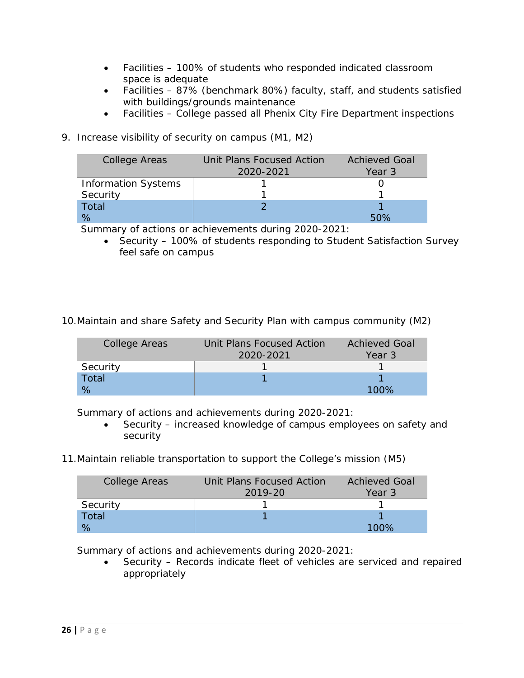- Facilities 100% of students who responded indicated classroom space is adequate
- Facilities 87% (benchmark 80%) faculty, staff, and students satisfied with buildings/grounds maintenance
- Facilities College passed all Phenix City Fire Department inspections
- 9. Increase visibility of security on campus (M1, M2)

| <b>College Areas</b>       | Unit Plans Focused Action | <b>Achieved Goal</b> |
|----------------------------|---------------------------|----------------------|
|                            | 2020-2021                 | Year 3               |
| <b>Information Systems</b> |                           |                      |
| Security                   |                           |                      |
| Total                      |                           |                      |
| $\%$                       |                           | 50%                  |

• Security – 100% of students responding to Student Satisfaction Survey feel safe on campus

10.Maintain and share Safety and Security Plan with campus community (M2)

| College Areas | Unit Plans Focused Action | <b>Achieved Goal</b> |
|---------------|---------------------------|----------------------|
|               | 2020-2021                 | Year 3               |
| Security      |                           |                      |
| Total         |                           |                      |
|               |                           | 100%                 |

Summary of actions and achievements during 2020-2021:

- Security increased knowledge of campus employees on safety and security
- 11.Maintain reliable transportation to support the College's mission (M5)

| College Areas | Unit Plans Focused Action | <b>Achieved Goal</b> |
|---------------|---------------------------|----------------------|
|               | 2019-20                   | Year 3               |
| Security      |                           |                      |
| Total         |                           |                      |
|               |                           | 100%                 |

Summary of actions and achievements during 2020-2021:

Security – Records indicate fleet of vehicles are serviced and repaired appropriately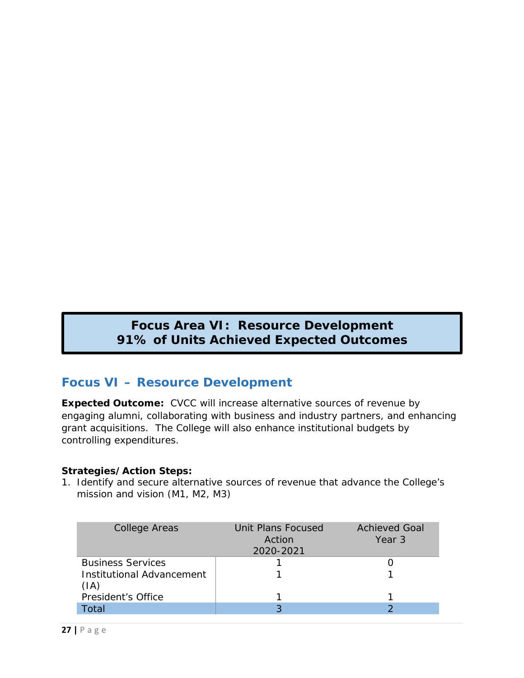## **Paramel Propels Achieved Expected Outcomes Focus Area VI: Resource Development**

## **Focus VI – Resource Development**

**Expected Outcome:** CVCC will increase alternative sources of revenue by engaging alumni, collaborating with business and industry partners, and enhancing grant acquisitions. The College will also enhance institutional budgets by controlling expenditures.

#### **Strategies/Action Steps:**

1. Identify and secure alternative sources of revenue that advance the College's mission and vision (M1, M2, M3)

| <b>College Areas</b>                     | Unit Plans Focused<br>Action<br>2020-2021 | <b>Achieved Goal</b><br>Year 3 |
|------------------------------------------|-------------------------------------------|--------------------------------|
| <b>Business Services</b>                 |                                           |                                |
| <b>Institutional Advancement</b><br>(IA) |                                           |                                |
| President's Office                       |                                           |                                |
| Total                                    |                                           |                                |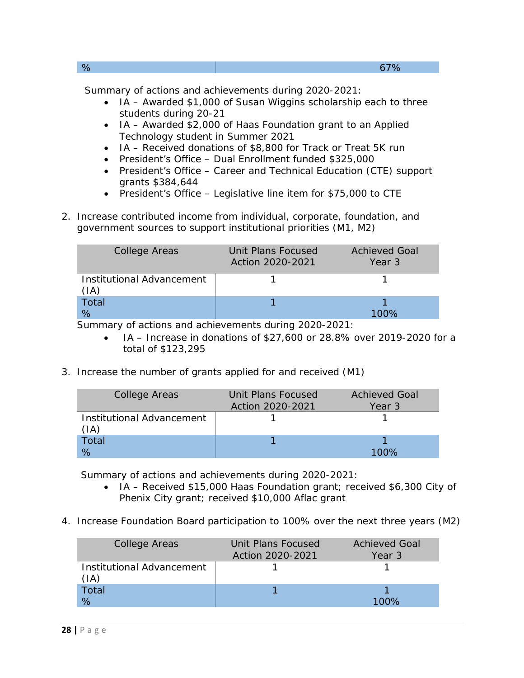| % | 67% |
|---|-----|
|   |     |

- IA Awarded \$1,000 of Susan Wiggins scholarship each to three students during 20-21
- IA Awarded \$2,000 of Haas Foundation grant to an Applied Technology student in Summer 2021
- IA Received donations of \$8,800 for Track or Treat 5K run
- President's Office Dual Enrollment funded \$325,000
- President's Office Career and Technical Education (CTE) support grants \$384,644
- President's Office Legislative line item for \$75,000 to CTE
- 2. Increase contributed income from individual, corporate, foundation, and government sources to support institutional priorities (M1, M2)

| <b>College Areas</b>              | Unit Plans Focused<br>Action 2020-2021 | <b>Achieved Goal</b><br>Year 3 |
|-----------------------------------|----------------------------------------|--------------------------------|
| Institutional Advancement<br>(IA) |                                        |                                |
| Total                             |                                        |                                |
| %                                 |                                        |                                |

Summary of actions and achievements during 2020-2021:

- IA Increase in donations of \$27,600 or 28.8% over 2019-2020 for a total of \$123,295
- 3. Increase the number of grants applied for and received (M1)

| <b>College Areas</b>              | Unit Plans Focused<br>Action 2020-2021 | <b>Achieved Goal</b><br>Year 3 |
|-----------------------------------|----------------------------------------|--------------------------------|
| Institutional Advancement<br>(IA) |                                        |                                |
| Total                             |                                        |                                |
|                                   |                                        |                                |

- IA Received \$15,000 Haas Foundation grant; received \$6,300 City of Phenix City grant; received \$10,000 Aflac grant
- 4. Increase Foundation Board participation to 100% over the next three years (M2)

| <b>College Areas</b>                         | Unit Plans Focused<br>Action 2020-2021 | <b>Achieved Goal</b><br>Year 3 |
|----------------------------------------------|----------------------------------------|--------------------------------|
| Institutional Advancement<br>$(\mathsf{IA})$ |                                        |                                |
| Total<br>%                                   |                                        | 100%                           |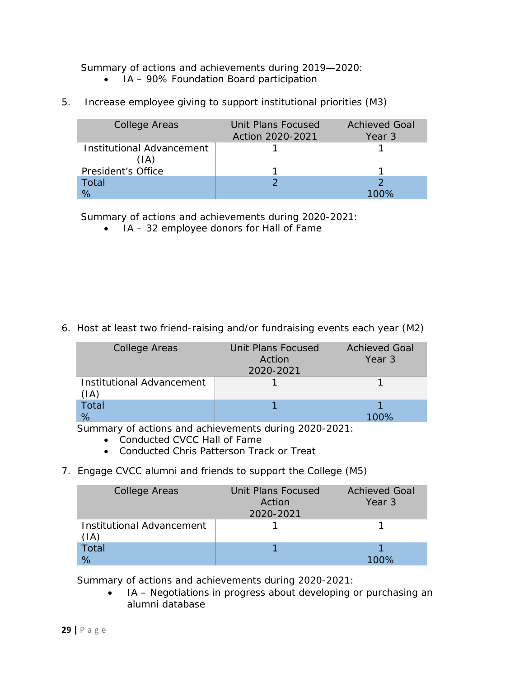Summary of actions and achievements during 2019—2020:

- IA 90% Foundation Board participation
- 5. Increase employee giving to support institutional priorities (M3)

| College Areas             | Unit Plans Focused<br>Action 2020-2021 | <b>Achieved Goal</b><br>Year 3 |
|---------------------------|----------------------------------------|--------------------------------|
| Institutional Advancement |                                        |                                |
| (IA)                      |                                        |                                |
| President's Office        |                                        |                                |
| Total                     |                                        |                                |
| ℅                         |                                        |                                |

Summary of actions and achievements during 2020-2021:

• IA – 32 employee donors for Hall of Fame

6. Host at least two friend-raising and/or fundraising events each year (M2)

| College Areas                                | Unit Plans Focused<br>Action<br>2020-2021 | <b>Achieved Goal</b><br>Year 3 |
|----------------------------------------------|-------------------------------------------|--------------------------------|
| Institutional Advancement<br>$(\mathsf{IA})$ |                                           |                                |
| Total<br>%                                   |                                           |                                |

Summary of actions and achievements during 2020-2021:

- Conducted CVCC Hall of Fame
- Conducted Chris Patterson Track or Treat
- 7. Engage CVCC alumni and friends to support the College (M5)

| <b>College Areas</b>                         | Unit Plans Focused<br>Action<br>2020-2021 | <b>Achieved Goal</b><br>Year 3 |
|----------------------------------------------|-------------------------------------------|--------------------------------|
| Institutional Advancement<br>$(\mathsf{IA})$ |                                           |                                |
| Total<br>%                                   |                                           | 100%                           |

Summary of actions and achievements during 2020-2021:

• IA – Negotiations in progress about developing or purchasing an alumni database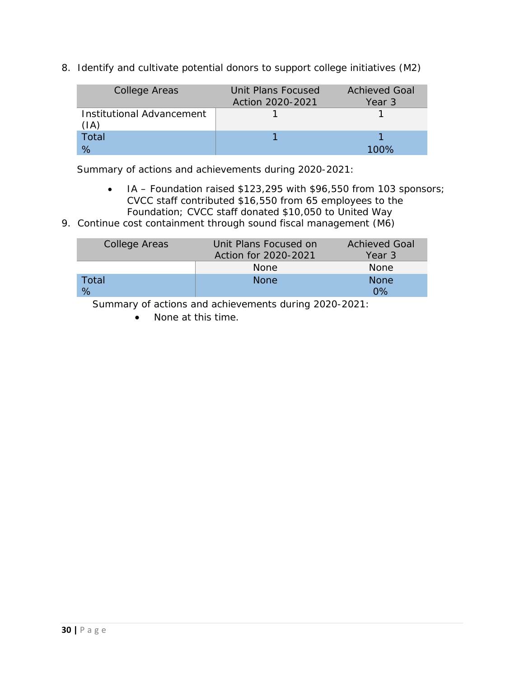8. Identify and cultivate potential donors to support college initiatives (M2)

| College Areas                                | Unit Plans Focused<br>Action 2020-2021 | <b>Achieved Goal</b><br>Year 3 |
|----------------------------------------------|----------------------------------------|--------------------------------|
| Institutional Advancement<br>$(\mathsf{IA})$ |                                        |                                |
| Total                                        |                                        |                                |
|                                              |                                        | 100%                           |

Summary of actions and achievements during 2020-2021:

- IA Foundation raised \$123,295 with \$96,550 from 103 sponsors; CVCC staff contributed \$16,550 from 65 employees to the Foundation; CVCC staff donated \$10,050 to United Way
- 9. Continue cost containment through sound fiscal management (M6)

| <b>College Areas</b> | Unit Plans Focused on | <b>Achieved Goal</b> |
|----------------------|-----------------------|----------------------|
|                      | Action for 2020-2021  | Year 3               |
|                      | None.                 | <b>None</b>          |
| Total                | <b>None</b>           | <b>None</b>          |
| %                    |                       | በ%                   |

Summary of actions and achievements during 2020-2021:

• None at this time.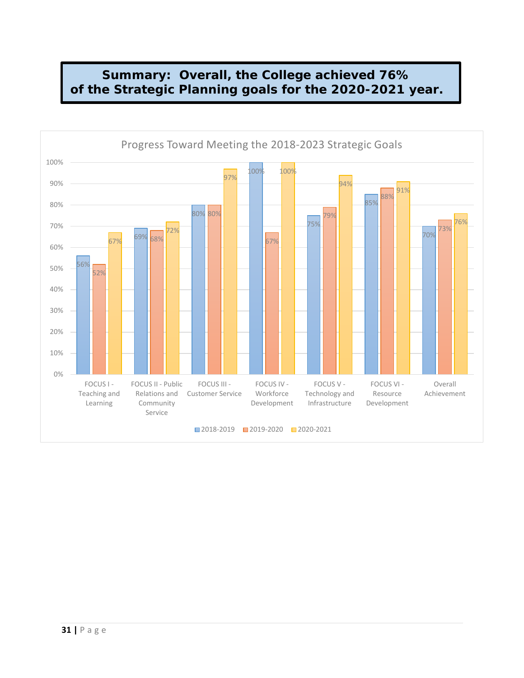## **Summary: Overall, the College achieved 76% of the Strategic Planning goals for the 2020-2021 year.**

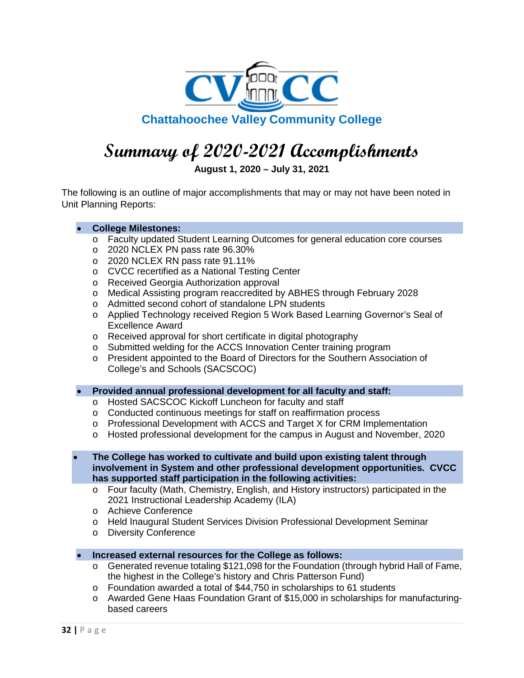

## **Summary of 2020-2021 Accomplishments**

**August 1, 2020 – July 31, 2021**

The following is an outline of major accomplishments that may or may not have been noted in Unit Planning Reports:

#### • **College Milestones:**

- o Faculty updated Student Learning Outcomes for general education core courses
- o 2020 NCLEX PN pass rate 96.30%
- o 2020 NCLEX RN pass rate 91.11%
- o CVCC recertified as a National Testing Center
- o Received Georgia Authorization approval
- o Medical Assisting program reaccredited by ABHES through February 2028
- o Admitted second cohort of standalone LPN students
- o Applied Technology received Region 5 Work Based Learning Governor's Seal of Excellence Award
- o Received approval for short certificate in digital photography
- o Submitted welding for the ACCS Innovation Center training program
- o President appointed to the Board of Directors for the Southern Association of College's and Schools (SACSCOC)
- **Provided annual professional development for all faculty and staff:**
	- o Hosted SACSCOC Kickoff Luncheon for faculty and staff
	- o Conducted continuous meetings for staff on reaffirmation process
	- o Professional Development with ACCS and Target X for CRM Implementation
	- o Hosted professional development for the campus in August and November, 2020
- **The College has worked to cultivate and build upon existing talent through involvement in System and other professional development opportunities. CVCC has supported staff participation in the following activities:**
	- o Four faculty (Math, Chemistry, English, and History instructors) participated in the 2021 Instructional Leadership Academy (ILA)
	- o Achieve Conference
	- o Held Inaugural Student Services Division Professional Development Seminar
	- o Diversity Conference
- **Increased external resources for the College as follows:**
	- $\circ$  Generated revenue totaling \$121,098 for the Foundation (through hybrid Hall of Fame, the highest in the College's history and Chris Patterson Fund)
	- o Foundation awarded a total of \$44,750 in scholarships to 61 students
	- o Awarded Gene Haas Foundation Grant of \$15,000 in scholarships for manufacturingbased careers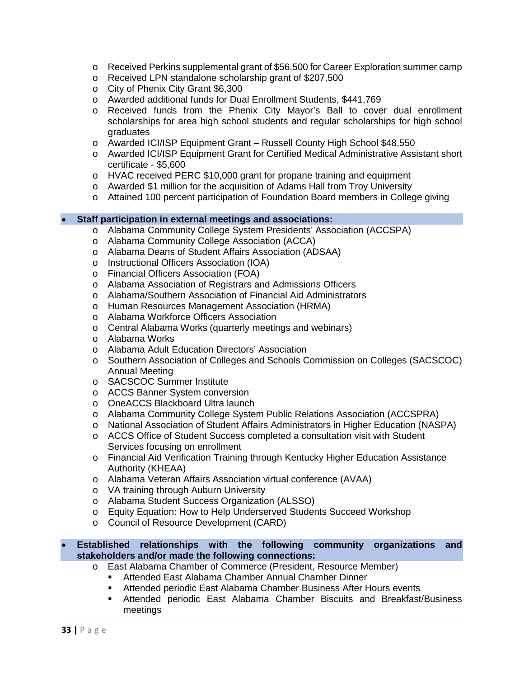- o Received Perkins supplemental grant of \$56,500 for Career Exploration summer camp
- o Received LPN standalone scholarship grant of \$207,500
- o City of Phenix City Grant \$6,300
- o Awarded additional funds for Dual Enrollment Students, \$441,769
- o Received funds from the Phenix City Mayor's Ball to cover dual enrollment scholarships for area high school students and regular scholarships for high school graduates
- o Awarded ICI/ISP Equipment Grant Russell County High School \$48,550
- o Awarded ICI/ISP Equipment Grant for Certified Medical Administrative Assistant short certificate - \$5,600
- o HVAC received PERC \$10,000 grant for propane training and equipment
- o Awarded \$1 million for the acquisition of Adams Hall from Troy University
- o Attained 100 percent participation of Foundation Board members in College giving

#### • **Staff participation in external meetings and associations:**

- o Alabama Community College System Presidents' Association (ACCSPA)
- o Alabama Community College Association (ACCA)
- o Alabama Deans of Student Affairs Association (ADSAA)
- o Instructional Officers Association (IOA)
- o Financial Officers Association (FOA)
- o Alabama Association of Registrars and Admissions Officers
- o Alabama/Southern Association of Financial Aid Administrators
- o Human Resources Management Association (HRMA)
- o Alabama Workforce Officers Association
- o Central Alabama Works (quarterly meetings and webinars)
- o Alabama Works
- o Alabama Adult Education Directors' Association
- o Southern Association of Colleges and Schools Commission on Colleges (SACSCOC) Annual Meeting
- o SACSCOC Summer Institute
- o ACCS Banner System conversion
- o OneACCS Blackboard Ultra launch
- o Alabama Community College System Public Relations Association (ACCSPRA)
- o National Association of Student Affairs Administrators in Higher Education (NASPA)
- o ACCS Office of Student Success completed a consultation visit with Student Services focusing on enrollment
- o Financial Aid Verification Training through Kentucky Higher Education Assistance Authority (KHEAA)
- o Alabama Veteran Affairs Association virtual conference (AVAA)
- o VA training through Auburn University
- o Alabama Student Success Organization (ALSSO)
- o Equity Equation: How to Help Underserved Students Succeed Workshop
- o Council of Resource Development (CARD)

#### • **Established relationships with the following community organizations and stakeholders and/or made the following connections:**

- o East Alabama Chamber of Commerce (President, Resource Member)
	- Attended East Alabama Chamber Annual Chamber Dinner
	- Attended periodic East Alabama Chamber Business After Hours events
	- Attended periodic East Alabama Chamber Biscuits and Breakfast/Business meetings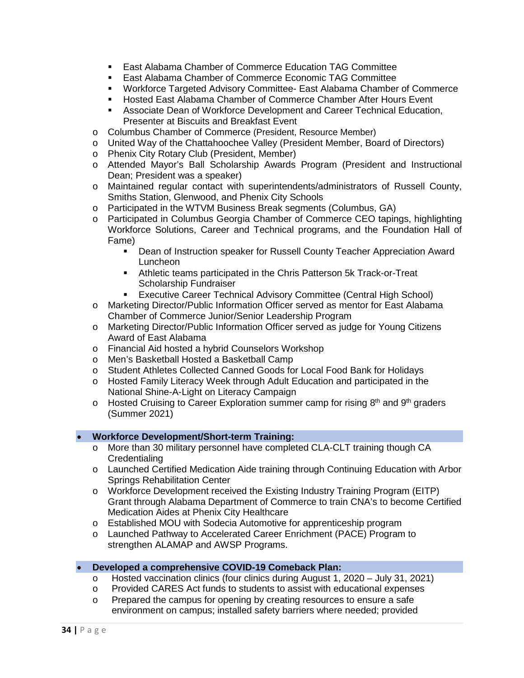- **East Alabama Chamber of Commerce Education TAG Committee**
- East Alabama Chamber of Commerce Economic TAG Committee
- Workforce Targeted Advisory Committee- East Alabama Chamber of Commerce
- **Hosted East Alabama Chamber of Commerce Chamber After Hours Event**
- Associate Dean of Workforce Development and Career Technical Education, Presenter at Biscuits and Breakfast Event
- o Columbus Chamber of Commerce (President, Resource Member)
- o United Way of the Chattahoochee Valley (President Member, Board of Directors)
- o Phenix City Rotary Club (President, Member)
- o Attended Mayor's Ball Scholarship Awards Program (President and Instructional Dean; President was a speaker)
- o Maintained regular contact with superintendents/administrators of Russell County, Smiths Station, Glenwood, and Phenix City Schools
- o Participated in the WTVM Business Break segments (Columbus, GA)
- o Participated in Columbus Georgia Chamber of Commerce CEO tapings, highlighting Workforce Solutions, Career and Technical programs, and the Foundation Hall of Fame)
	- Dean of Instruction speaker for Russell County Teacher Appreciation Award Luncheon
	- Athletic teams participated in the Chris Patterson 5k Track-or-Treat Scholarship Fundraiser
	- **Executive Career Technical Advisory Committee (Central High School)**
- o Marketing Director/Public Information Officer served as mentor for East Alabama Chamber of Commerce Junior/Senior Leadership Program
- o Marketing Director/Public Information Officer served as judge for Young Citizens Award of East Alabama
- o Financial Aid hosted a hybrid Counselors Workshop
- o Men's Basketball Hosted a Basketball Camp
- o Student Athletes Collected Canned Goods for Local Food Bank for Holidays
- o Hosted Family Literacy Week through Adult Education and participated in the National Shine-A-Light on Literacy Campaign
- $\circ$  Hosted Cruising to Career Exploration summer camp for rising 8<sup>th</sup> and 9<sup>th</sup> graders (Summer 2021)

#### • **Workforce Development/Short-term Training:**

- o More than 30 military personnel have completed CLA-CLT training though CA **Credentialing**
- o Launched Certified Medication Aide training through Continuing Education with Arbor Springs Rehabilitation Center
- o Workforce Development received the Existing Industry Training Program (EITP) Grant through Alabama Department of Commerce to train CNA's to become Certified Medication Aides at Phenix City Healthcare
- o Established MOU with Sodecia Automotive for apprenticeship program
- o Launched Pathway to Accelerated Career Enrichment (PACE) Program to strengthen ALAMAP and AWSP Programs.

#### • **Developed a comprehensive COVID-19 Comeback Plan:**

- o Hosted vaccination clinics (four clinics during August 1, 2020 July 31, 2021)
- o Provided CARES Act funds to students to assist with educational expenses  $\circ$  Prepared the campus for opening by creating resources to ensure a safe
- Prepared the campus for opening by creating resources to ensure a safe environment on campus; installed safety barriers where needed; provided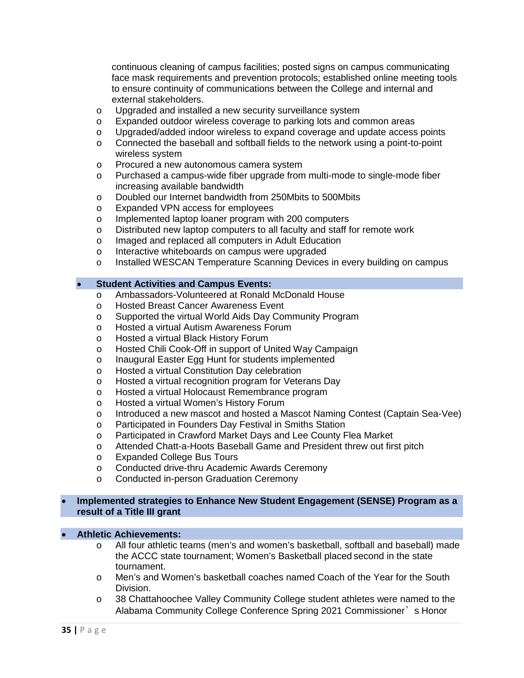continuous cleaning of campus facilities; posted signs on campus communicating face mask requirements and prevention protocols; established online meeting tools to ensure continuity of communications between the College and internal and external stakeholders.

- o Upgraded and installed a new security surveillance system<br>
o Expanded outdoor wireless coverage to parking lots and co
- Expanded outdoor wireless coverage to parking lots and common areas
- o Upgraded/added indoor wireless to expand coverage and update access points
- o Connected the baseball and softball fields to the network using a point-to-point wireless system
- o Procured a new autonomous camera system
- o Purchased a campus-wide fiber upgrade from multi-mode to single-mode fiber increasing available bandwidth
- o Doubled our Internet bandwidth from 250Mbits to 500Mbits
- o Expanded VPN access for employees
- o Implemented laptop loaner program with 200 computers
- o Distributed new laptop computers to all faculty and staff for remote work
- o Imaged and replaced all computers in Adult Education
- o Interactive whiteboards on campus were upgraded<br>
o Installed WESCAN Temperature Scanning Devices
- Installed WESCAN Temperature Scanning Devices in every building on campus

#### • **Student Activities and Campus Events:**

- o Ambassadors-Volunteered at Ronald McDonald House<br>
o Hosted Breast Cancer Awareness Event
- Hosted Breast Cancer Awareness Event
- o Supported the virtual World Aids Day Community Program
- o Hosted a virtual Autism Awareness Forum
- o Hosted a virtual Black History Forum
- o Hosted Chili Cook-Off in support of United Way Campaign
- o Inaugural Easter Egg Hunt for students implemented<br>
o Hosted a virtual Constitution Dav celebration
- Hosted a virtual Constitution Day celebration
- o Hosted a virtual recognition program for Veterans Day
- o Hosted a virtual Holocaust Remembrance program
- o Hosted a virtual Women's History Forum
- o Introduced a new mascot and hosted a Mascot Naming Contest (Captain Sea-Vee)
- o Participated in Founders Day Festival in Smiths Station
- o Participated in Crawford Market Days and Lee County Flea Market<br>
o Attended Chatt-a-Hoots Baseball Game and President threw out firs
- Attended Chatt-a-Hoots Baseball Game and President threw out first pitch
- o Expanded College Bus Tours
- o Conducted drive-thru Academic Awards Ceremony
- o Conducted in-person Graduation Ceremony

#### • **Implemented strategies to Enhance New Student Engagement (SENSE) Program as a result of a Title III grant**

#### • **Athletic Achievements:**

- o All four athletic teams (men's and women's basketball, softball and baseball) made the ACCC state tournament; Women's Basketball placed second in the state tournament.
- o Men's and Women's basketball coaches named Coach of the Year for the South Division.
- o 38 Chattahoochee Valley Community College student athletes were named to the Alabama Community College Conference Spring 2021 Commissioner's Honor